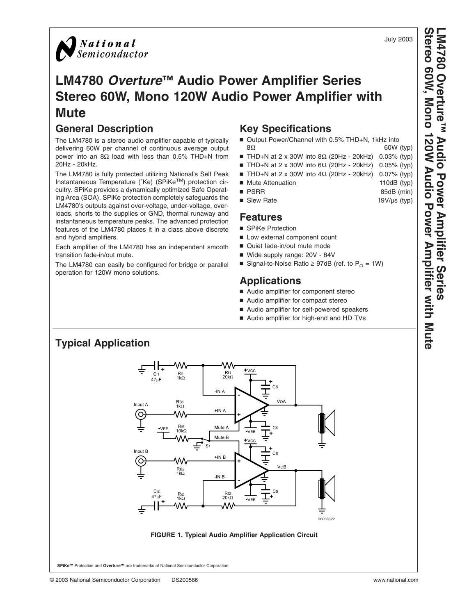<span id="page-0-0"></span>

## **LM4780** *Overture***™ Audio Power Amplifier Series Stereo 60W, Mono 120W Audio Power Amplifier with Mute**

## **General Description**

The LM4780 is a stereo audio amplifier capable of typically delivering 60W per channel of continuous average output power into an 8Ω load with less than  $0.5\%$  THD+N from 20Hz - 20kHz.

The LM4780 is fully protected utilizing National's Self Peak Instantaneous Temperature (˚Ke) (SPiKeTM) protection circuitry. SPiKe provides a dynamically optimized Safe Operating Area (SOA). SPiKe protection completely safeguards the LM4780's outputs against over-voltage, under-voltage, overloads, shorts to the supplies or GND, thermal runaway and instantaneous temperature peaks. The advanced protection features of the LM4780 places it in a class above discrete and hybrid amplifiers.

Each amplifier of the LM4780 has an independent smooth transition fade-in/out mute.

The LM4780 can easily be configured for bridge or parallel operation for 120W mono solutions.

- Output Power/Channel with 0.5% THD+N, 1kHz into
- THD+N at 2 x 30W into 8Ω (20Hz 20kHz) 0.03% (typ)
- THD+N at 2 x 30W into 6Ω (20Hz 20kHz) 0.05% (typ)
- THD+N at 2 x 30W into 4Ω (20Hz 20kHz) 0.07% (typ)
- Mute Attenuation 110dB (typ)<br>■ PSBB (min) 85dB (min)
- 
- Slew Rate 19V/µs (typ)

- SPiKe Protection
- **Low external component count**
- Quiet fade-in/out mute mode
- Wide supply range: 20V 84V
- Signal-to-Noise Ratio  $\geq$  97dB (ref. to P<sub>O</sub> = 1W)

## **Applications**

- Audio amplifier for component stereo
- Audio amplifier for compact stereo
- Audio amplifier for self-powered speakers
- Audio amplifier for high-end and HD TVs



## **Key Specifications**

- $8\Omega$  60W (typ)
- 
- 
- 
- -
- 
- **Features**
- 
- 
- 
- 
- 

July 2003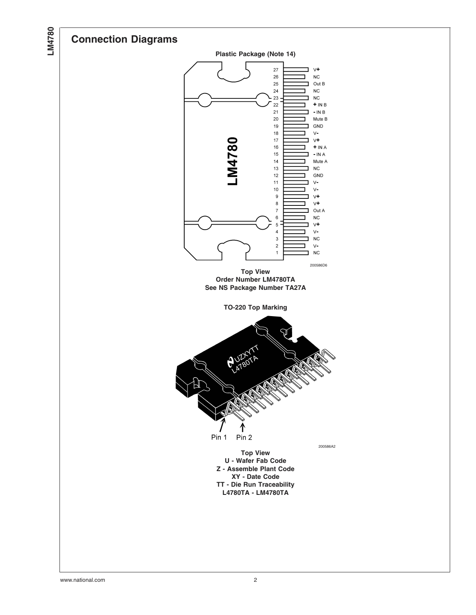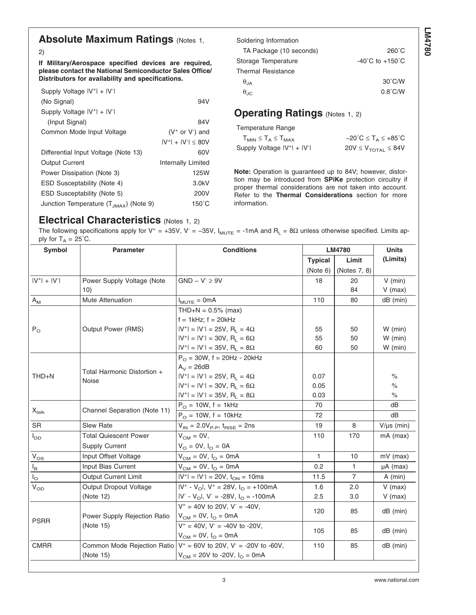## **Absolute Maximum Ratings (Notes [1,](#page-3-0)**

#### [2\)](#page-3-0)

**If Military/Aerospace specified devices are required, please contact the National Semiconductor Sales Office/ Distributors for availability and specifications.**

| Supply Voltage IV <sup>+</sup> I + IV <sup>-</sup> I |                              |
|------------------------------------------------------|------------------------------|
| (No Signal)                                          | 94V                          |
| Supply Voltage $ V^+ $ + $ V^- $                     |                              |
| (Input Signal)                                       | 84V                          |
| Common Mode Input Voltage                            | $(V^+$ or $V^-$ ) and        |
|                                                      | $ V^+ $ + $ V^- $ $\leq$ 80V |
| Differential Input Voltage (Note 13)                 | 60V                          |
| <b>Output Current</b>                                | <b>Internally Limited</b>    |
| Power Dissipation (Note 3)                           | <b>125W</b>                  |
| <b>ESD Susceptability (Note 4)</b>                   | 3.0kV                        |
| ESD Susceptability (Note 5)                          | 200V                         |
| Junction Temperature $(T_{JMAX})$ (Note 9)           | 150°C                        |
|                                                      |                              |

| Soldering Information     |                                     |
|---------------------------|-------------------------------------|
| TA Package (10 seconds)   | $260^{\circ}$ C                     |
| Storage Temperature       | $-40^{\circ}$ C to $+150^{\circ}$ C |
| <b>Thermal Resistance</b> |                                     |
| $\theta_{IA}$             | $30^{\circ}$ C/W                    |
| $\theta_{\text{AC}}$      | $0.8^{\circ}$ C/W                   |

## **Operating Ratings (Notes [1, 2\)](#page-3-0)**

Temperature Range

| ${\sf T}_{\sf MIN}\le {\sf T}_{\sf A}\le {\sf T}_{\sf MAX}$ | $-20^{\circ}$ C $\leq$ T <sub>A</sub> $\leq$ +85 $^{\circ}$ C |
|-------------------------------------------------------------|---------------------------------------------------------------|
| Supply Voltage $ V^+ $ + $ V^- $                            | $20V \leq V_{\text{TOTAL}} \leq 84V$                          |

**Note:** Operation is guaranteed up to 84V; however, distortion may be introduced from **SPiKe** protection circuitry if proper thermal considerations are not taken into account. Refer to the **Thermal Considerations** section for more information.

## **Electrical Characteristics** (Notes [1, 2\)](#page-3-0)

The following specifications apply for V<sup>+</sup> = +35V, V<sup>-</sup> = -35V, I<sub>MUTE</sub> = -1mA and R<sub>L</sub> = 8 $\Omega$  unless otherwise specified. Limits apply for  $T_A = 25^{\circ}$ C.

| <b>Symbol</b>                | <b>Parameter</b>             | <b>Conditions</b>                                   | <b>LM4780</b>  |                | <b>Units</b>    |
|------------------------------|------------------------------|-----------------------------------------------------|----------------|----------------|-----------------|
|                              |                              |                                                     | <b>Typical</b> | Limit          | (Limits)        |
|                              |                              |                                                     | (Note 6)       | (Notes 7, 8)   |                 |
| $ V^+  +  V^- $              | Power Supply Voltage (Note   | $GND - V^- \geq 9V$                                 | 18             | 20             | $V$ (min)       |
|                              | 10)                          |                                                     |                | 84             | $V$ (max)       |
| $A_{\mathsf{M}}$             | Mute Attenuation             | $I_{MUTE} = 0mA$                                    | 110            | 80             | $dB$ (min)      |
|                              |                              | $THD+N = 0.5\%$ (max)                               |                |                |                 |
|                              |                              | $f = 1$ kHz; $f = 20$ kHz                           |                |                |                 |
| $P_{\rm O}$                  | Output Power (RMS)           | $ V^+  =  V^-  = 25V$ , R <sub>L</sub> = $4\Omega$  | 55             | 50             | $W$ (min)       |
|                              |                              | $ V^+  =  V^-  = 30V$ , R <sub>1</sub> = 6 $\Omega$ | 55             | 50             | $W$ (min)       |
|                              |                              | $ V^+  =  V^-  = 35V$ , R <sub>L</sub> = 8 $\Omega$ | 60             | 50             | $W$ (min)       |
|                              |                              | $P_{\Omega}$ = 30W, f = 20Hz - 20kHz                |                |                |                 |
|                              | Total Harmonic Distortion +  | $A_V = 26dB$                                        |                |                |                 |
| THD+N                        | Noise                        | $ V^+  =  V^-  = 25V$ , R <sub>1</sub> = 4 $\Omega$ | 0.07           |                | $\%$            |
|                              |                              | $ V^+  =  V^-  = 30V$ , R <sub>1</sub> = 6 $\Omega$ | 0.05           |                | $\%$            |
|                              |                              | $ V^+  =  V^-  = 35V$ , R <sub>1</sub> = 8 $\Omega$ | 0.03           |                | $\%$            |
|                              | Channel Separation (Note 11) | $P_{O} = 10W$ , f = 1kHz                            | 70             |                | dВ              |
| $\mathsf{X}_{\mathsf{talk}}$ |                              | $P_{\Omega} = 10W$ , f = 10kHz                      | 72             |                | dB              |
| <b>SR</b>                    | <b>Slew Rate</b>             | $V_{IN} = 2.0V_{P-P}$ , $t_{BISE} = 2ns$            | 19             | 8              | $V/\mu s$ (min) |
| $I_{DD}$                     | <b>Total Quiescent Power</b> | $V_{CM} = 0V$ ,                                     | 110            | 170            | $mA$ (max)      |
|                              | <b>Supply Current</b>        | $V_{O} = 0V, I_{O} = 0A$                            |                |                |                 |
| $V_{OS}$                     | Input Offset Voltage         | $V_{CM} = 0V$ , $I_{O} = 0mA$                       | $\mathbf{1}$   | 10             | $mV$ (max)      |
| $\mathsf{I}_\mathsf{B}$      | Input Bias Current           | $V_{CM} = 0V$ , $I_{O} = 0mA$                       | 0.2            | 1              | $\mu A$ (max)   |
| $I_{\rm O}$                  | <b>Output Current Limit</b>  | $ V^+  =  V^-  = 20V$ , $t_{ON} = 10$ ms            | 11.5           | $\overline{7}$ | $A$ (min)       |
| $\tilde{V}_{OD}$             | Output Dropout Voltage       | $ V^* - V_O $ , $V^* = 28V$ , $I_O = +100mA$        | 1.6            | 2.0            | $V$ (max)       |
|                              | (Note 12)                    | $ V - V_0 $ , $V = -28V$ , $I_0 = -100mA$           | 2.5            | 3.0            | $V$ (max)       |
|                              |                              | $V^+ = 40V$ to 20V, $V^- = -40V$ ,                  | 120            | 85             | $dB$ (min)      |
| <b>PSRR</b>                  | Power Supply Rejection Ratio | $V_{CM} = 0V, I_{O} = 0mA$                          |                |                |                 |
|                              | (Note 15)                    | $V^+ = 40V$ , $V^- = -40V$ to -20V,                 | 105            | 85             | $dB$ (min)      |
|                              |                              | $V_{CM} = 0V$ , $I_{O} = 0mA$                       |                |                |                 |
| <b>CMRR</b>                  | Common Mode Rejection Ratio  | $V^+ = 60V$ to 20V, $V^- = -20V$ to -60V,           | 110            | 85             | $dB$ (min)      |
|                              | (Note 15)                    | $V_{CM}$ = 20V to -20V, $I_{O}$ = 0mA               |                |                |                 |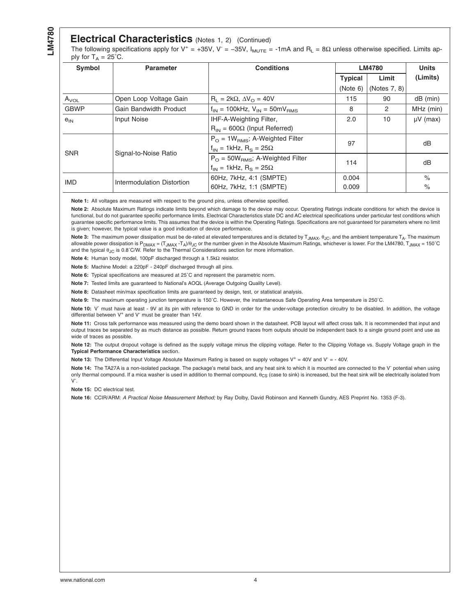#### **Electrical Characteristics** (Notes 1, 2) (Continued)

<span id="page-3-0"></span>The following specifications apply for V<sup>+</sup> = +35V, V<sup>-</sup> = -35V, I<sub>MUTE</sub> = -1mA and R<sub>L</sub> = 8 $\Omega$  unless otherwise specified. Limits apply for  $T_A = 25^{\circ}$ C.

| <b>Symbol</b> | <b>Parameter</b>           | <b>Conditions</b>                                     |                | <b>LM4780</b>  |               |
|---------------|----------------------------|-------------------------------------------------------|----------------|----------------|---------------|
|               |                            |                                                       | <b>Typical</b> | Limit          | (Limits)      |
|               |                            |                                                       | (Note 6)       | (Notes 7, 8)   |               |
| $A_{VOL}$     | Open Loop Voltage Gain     | $R_1 = 2k\Omega$ , $\Delta V_0 = 40V$                 | 115            | 90             | $dB$ (min)    |
| <b>GBWP</b>   | Gain Bandwidth Product     | $f_{IN}$ = 100kHz, $V_{IN}$ = 50mV <sub>BMS</sub>     | 8              | $\overline{2}$ | MHz (min)     |
| $e_{IN}$      | <b>Input Noise</b>         | IHF-A-Weighting Filter,                               | 2.0            | 10             | $\mu$ V (max) |
|               |                            | $R_{IN}$ = 600 $\Omega$ (Input Referred)              |                |                |               |
|               | Signal-to-Noise Ratio      | $P_{\Omega}$ = 1W <sub>BMS</sub> ; A-Weighted Filter  | 97             |                | dB            |
| <b>SNR</b>    |                            | $f_{IN}$ = 1kHz, $R_S$ = 25 $\Omega$                  |                |                |               |
|               |                            | $P_{\Omega}$ = 50W <sub>BMS</sub> ; A-Weighted Filter | 114            |                | dB            |
|               |                            | $f_{IN}$ = 1kHz, R <sub>S</sub> = 25 $\Omega$         |                |                |               |
| <b>IMD</b>    | Intermodulation Distortion | 60Hz, 7kHz, 4:1 (SMPTE)                               | 0.004          |                | $\%$          |
|               |                            | 60Hz, 7kHz, 1:1 (SMPTE)                               | 0.009          |                | $\%$          |

Note 1: All voltages are measured with respect to the ground pins, unless otherwise specified.

**Note 2:** Absolute Maximum Ratings indicate limits beyond which damage to the device may occur. Operating Ratings indicate conditions for which the device is functional, but do not quarantee specific performance limits. Electrical Characteristics state DC and AC electrical specifications under particular test conditions which guarantee specific performance limits. This assumes that the device is within the Operating Ratings. Specifications are not guaranteed for parameters where no limit is given; however, the typical value is a good indication of device performance.

Note 3: The maximum power dissipation must be de-rated at elevated temperatures and is dictated by T<sub>JMAX</sub>, θ<sub>JC</sub>, and the ambient temperature T<sub>A</sub>. The maximum allowable power dissipation is P<sub>DMAX</sub> = (T<sub>JMAX</sub> -T<sub>A</sub>)/θ<sub>JC</sub> or the number given in the Absolute Maximum Ratings, whichever is lower. For the LM4780, T<sub>JMAX</sub> = 150<sup>°</sup>C and the typical  $\theta$ <sub>JC</sub> is 0.8°C/W. Refer to the Thermal Considerations section for more information.

**Note 4:** Human body model, 100pF discharged through a 1.5kΩ resistor.

**Note 5:** Machine Model: a 220pF - 240pF discharged through all pins.

**Note 6:** Typical specifications are measured at 25˚C and represent the parametric norm.

**Note 7:** Tested limits are guaranteed to National's AOQL (Average Outgoing Quality Level).

**Note 8:** Datasheet min/max specification limits are guaranteed by design, test, or statistical analysis.

**Note 9:** The maximum operating junction temperature is 150˚C. However, the instantaneous Safe Operating Area temperature is 250˚C.

Note 10: V<sup>-</sup> must have at least - 9V at its pin with reference to GND in order for the under-voltage protection circuitry to be disabled. In addition, the voltage differential between  $V^+$  and  $V^-$  must be greater than 14V.

**Note 11:** Cross talk performance was measured using the demo board shown in the datasheet. PCB layout will affect cross talk. It is recommended that input and output traces be separated by as much distance as possible. Return ground traces from outputs should be independent back to a single ground point and use as wide of traces as possible.

Note 12: The output dropout voltage is defined as the supply voltage minus the clipping voltage. Refer to the Clipping Voltage vs. Supply Voltage graph in the **Typical Performance Characteristics** section.

Note 13: The Differential Input Voltage Absolute Maximum Rating is based on supply voltages V<sup>+</sup> = 40V and V<sup>-</sup> = - 40V.

**Note 14:** The TA27A is a non-isolated package. The package's metal back, and any heat sink to which it is mounted are connected to the V- potential when using only thermal compound. If a mica washer is used in addition to thermal compound,  $\theta_{CS}$  (case to sink) is increased, but the heat sink will be electrically isolated from V- .

**Note 15:** DC electrical test.

**Note 16:** CCIR/ARM: *A Practical Noise Measurement Method;* by Ray Dolby, David Robinson and Kenneth Gundry, AES Preprint No. 1353 (F-3).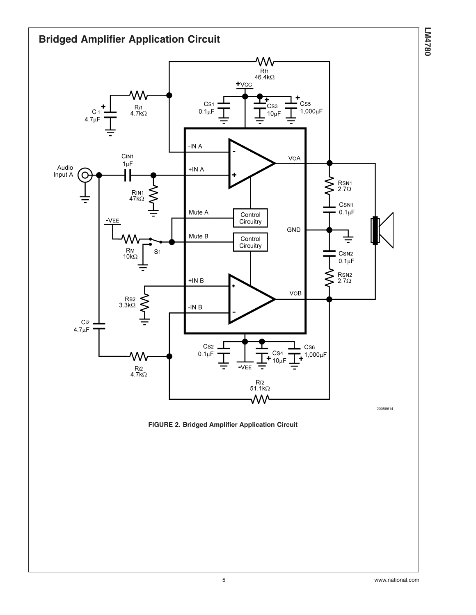<span id="page-4-0"></span>

**FIGURE 2. Bridged Amplifier Application Circuit**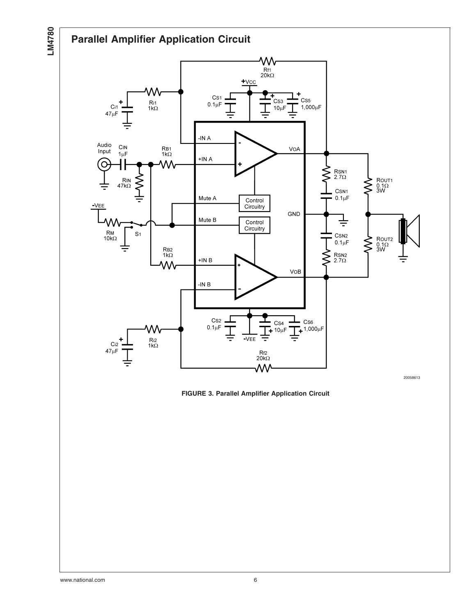<span id="page-5-0"></span>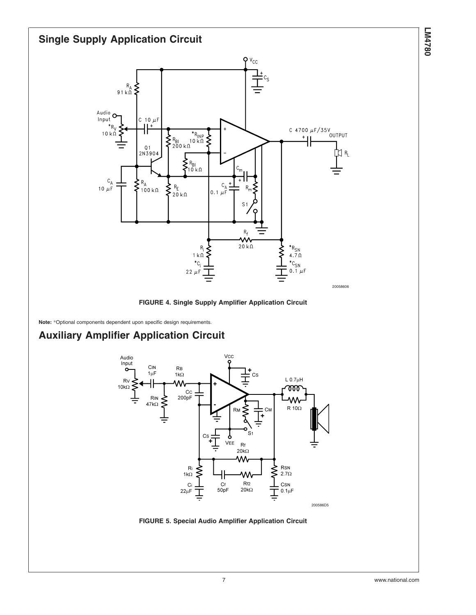<span id="page-6-0"></span>

**FIGURE 4. Single Supply Amplifier Application Circuit**

**Note:** \*Optional components dependent upon specific design requirements.

## **Auxiliary Amplifier Application Circuit**



**FIGURE 5. Special Audio Amplifier Application Circuit**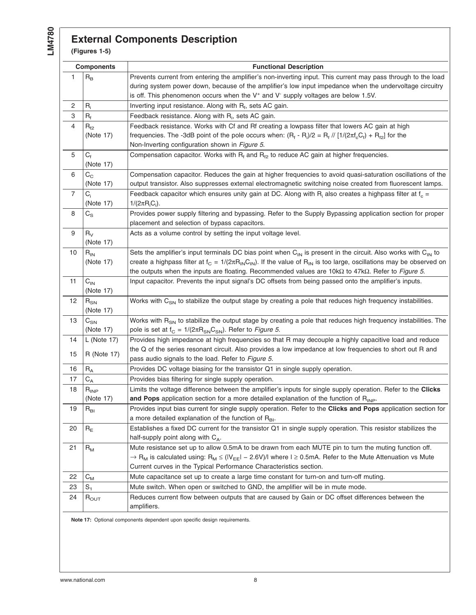## **External Components Description**

**(Figures 1-5)**

| <b>Components</b>         |                            | <b>Functional Description</b>                                                                                                                                                                                                                                                                                        |
|---------------------------|----------------------------|----------------------------------------------------------------------------------------------------------------------------------------------------------------------------------------------------------------------------------------------------------------------------------------------------------------------|
| 1                         | $\mathsf{R}_\mathsf{B}$    | Prevents current from entering the amplifier's non-inverting input. This current may pass through to the load<br>during system power down, because of the amplifier's low input impedance when the undervoltage circuitry<br>is off. This phenomenon occurs when the $V^+$ and $V^-$ supply voltages are below 1.5V. |
| 2                         | $R_i$                      | Inverting input resistance. Along with $R_f$ , sets AC gain.                                                                                                                                                                                                                                                         |
| $\ensuremath{\mathsf{3}}$ | $R_f$                      | Feedback resistance. Along with R <sub>i</sub> , sets AC gain.                                                                                                                                                                                                                                                       |
| 4                         | $\mathsf{R}_{\mathsf{f2}}$ | Feedback resistance. Works with Cf and Rf creating a lowpass filter that lowers AC gain at high                                                                                                                                                                                                                      |
|                           | (Note 17)                  | frequencies. The -3dB point of the pole occurs when: $(R_f - R_i)/2 = R_f / (1/(2\pi f_c C_f) + R_{f2})$ for the                                                                                                                                                                                                     |
|                           |                            | Non-Inverting configuration shown in Figure 5.                                                                                                                                                                                                                                                                       |
| 5                         | $C_f$                      | Compensation capacitor. Works with $R_f$ and $R_{f2}$ to reduce AC gain at higher frequencies.                                                                                                                                                                                                                       |
|                           | (Note 17)                  |                                                                                                                                                                                                                                                                                                                      |
| 6                         | $C_{C}$                    | Compensation capacitor. Reduces the gain at higher frequencies to avoid quasi-saturation oscillations of the                                                                                                                                                                                                         |
|                           | (Note 17)                  | output transistor. Also suppresses external electromagnetic switching noise created from fluorescent lamps.                                                                                                                                                                                                          |
| $\overline{7}$            | $C_i$                      | Feedback capacitor which ensures unity gain at DC. Along with $R_i$ also creates a highpass filter at $f_c$ =                                                                                                                                                                                                        |
|                           | (Note 17)                  | $1/(2\pi R_iC_i)$ .                                                                                                                                                                                                                                                                                                  |
| 8                         | $C_{\rm S}$                | Provides power supply filtering and bypassing. Refer to the Supply Bypassing application section for proper<br>placement and selection of bypass capacitors.                                                                                                                                                         |
| 9                         | $R_V$                      | Acts as a volume control by setting the input voltage level.                                                                                                                                                                                                                                                         |
|                           | (Note 17)                  |                                                                                                                                                                                                                                                                                                                      |
| 10                        | $R_{IN}$                   | Sets the amplifier's input terminals DC bias point when $C_{IN}$ is present in the circuit. Also works with $C_{IN}$ to                                                                                                                                                                                              |
|                           | (Note 17)                  | create a highpass filter at $f_c = 1/(2\pi R_{IN}C_{IN})$ . If the value of $R_{IN}$ is too large, oscillations may be observed on                                                                                                                                                                                   |
|                           |                            | the outputs when the inputs are floating. Recommended values are $10k\Omega$ to $47k\Omega$ . Refer to Figure 5.                                                                                                                                                                                                     |
| 11                        | $C_{IN}$                   | Input capacitor. Prevents the input signal's DC offsets from being passed onto the amplifier's inputs.                                                                                                                                                                                                               |
|                           | (Note 17)                  |                                                                                                                                                                                                                                                                                                                      |
| 12                        | $R_{SN}$                   | Works with C <sub>SN</sub> to stabilize the output stage by creating a pole that reduces high frequency instabilities.                                                                                                                                                                                               |
|                           | (Note 17)                  |                                                                                                                                                                                                                                                                                                                      |
| 13                        | $C_{SN}$                   | Works with R <sub>SN</sub> to stabilize the output stage by creating a pole that reduces high frequency instabilities. The                                                                                                                                                                                           |
|                           | (Note 17)                  | pole is set at $f_C = 1/(2\pi R_{SN}C_{SN})$ . Refer to Figure 5.                                                                                                                                                                                                                                                    |
| 14                        | L (Note 17)                | Provides high impedance at high frequencies so that R may decouple a highly capacitive load and reduce                                                                                                                                                                                                               |
|                           |                            | the Q of the series resonant circuit. Also provides a low impedance at low frequencies to short out R and                                                                                                                                                                                                            |
| 15                        | <b>R</b> (Note 17)         | pass audio signals to the load. Refer to Figure 5.                                                                                                                                                                                                                                                                   |
| 16                        | $R_{A}$                    | Provides DC voltage biasing for the transistor Q1 in single supply operation.                                                                                                                                                                                                                                        |
| 17                        | $\mathrm{C}_{\mathrm{A}}$  | Provides bias filtering for single supply operation.                                                                                                                                                                                                                                                                 |
| 18                        | $R_{\sf INP}$              | Limits the voltage difference between the amplifier's inputs for single supply operation. Refer to the Clicks                                                                                                                                                                                                        |
|                           | (Note 17)                  | and Pops application section for a more detailed explanation of the function of R <sub>INP</sub> .                                                                                                                                                                                                                   |
| 19                        | $R_{BI}$                   | Provides input bias current for single supply operation. Refer to the Clicks and Pops application section for                                                                                                                                                                                                        |
|                           |                            | a more detailed explanation of the function of $R_{B1}$ .                                                                                                                                                                                                                                                            |
| 20                        | $R_E$                      | Establishes a fixed DC current for the transistor Q1 in single supply operation. This resistor stabilizes the                                                                                                                                                                                                        |
|                           |                            | half-supply point along with $C_A$ .                                                                                                                                                                                                                                                                                 |
| 21                        | $R_{M}$                    | Mute resistance set up to allow 0.5mA to be drawn from each MUTE pin to turn the muting function off.                                                                                                                                                                                                                |
|                           |                            | $\rightarrow$ R <sub>M</sub> is calculated using: R <sub>M</sub> $\leq$ (IV <sub>EE</sub> I - 2.6V)/I where I $\geq$ 0.5mA. Refer to the Mute Attenuation vs Mute                                                                                                                                                    |
|                           |                            | Current curves in the Typical Performance Characteristics section.                                                                                                                                                                                                                                                   |
| 22                        | $C_{M}$                    | Mute capacitance set up to create a large time constant for turn-on and turn-off muting.                                                                                                                                                                                                                             |
| 23                        | $S_1$                      | Mute switch. When open or switched to GND, the amplifier will be in mute mode.                                                                                                                                                                                                                                       |
| 24                        | $R_{\text{OUT}}$           | Reduces current flow between outputs that are caused by Gain or DC offset differences between the                                                                                                                                                                                                                    |
|                           |                            | amplifiers.                                                                                                                                                                                                                                                                                                          |

**Note 17:** Optional components dependent upon specific design requirements.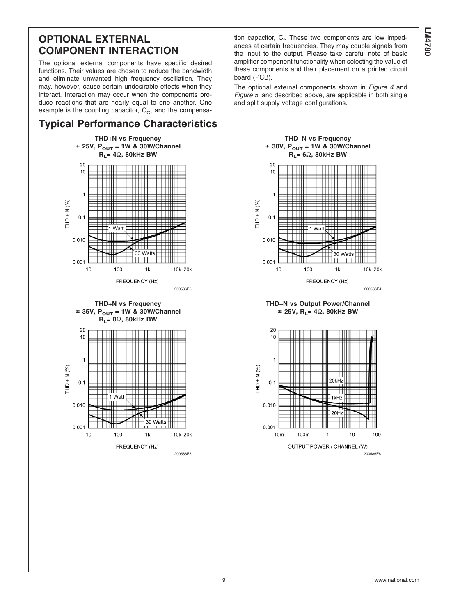## **OPTIONAL EXTERNAL COMPONENT INTERACTION**

The optional external components have specific desired functions. Their values are chosen to reduce the bandwidth and eliminate unwanted high frequency oscillation. They may, however, cause certain undesirable effects when they interact. Interaction may occur when the components produce reactions that are nearly equal to one another. One example is the coupling capacitor,  $C_{\text{C}}$ , and the compensa-

## **Typical Performance Characteristics**







tion capacitor, C<sub>f</sub>. These two components are low impedances at certain frequencies. They may couple signals from the input to the output. Please take careful note of basic amplifier component functionality when selecting the value of these components and their placement on a printed circuit board (PCB).

The optional external components shown in *[Figure 4](#page-6-0)* and *[Figure 5](#page-6-0)*, and described above, are applicable in both single and split supply voltage configurations.



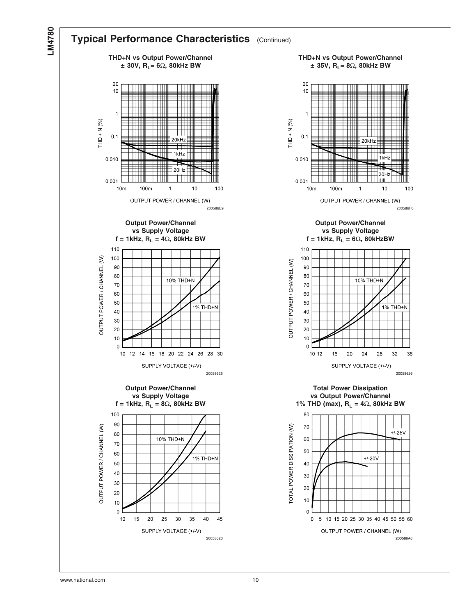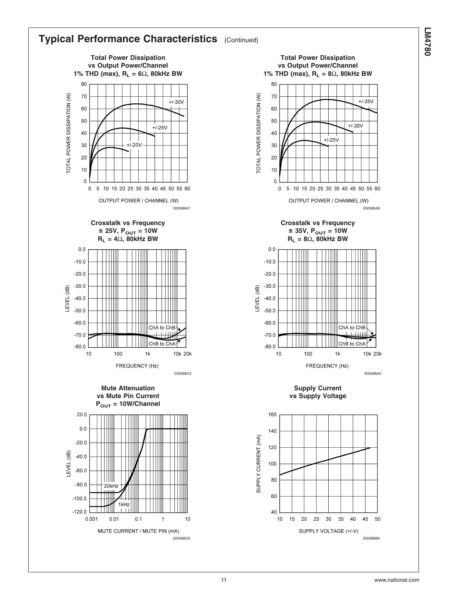

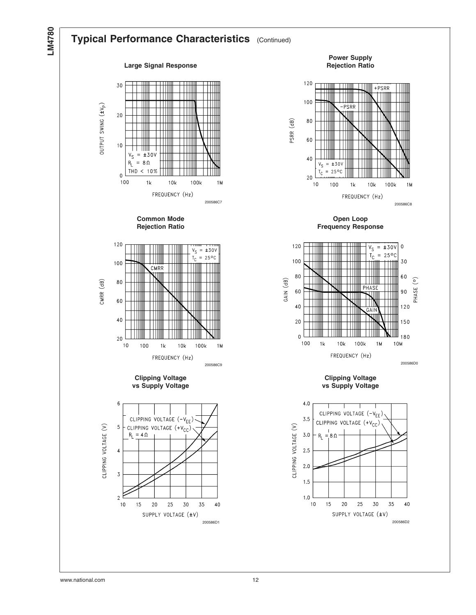

## **Typical Performance Characteristics** (Continued)

#### **Large Signal Response**















**Power Supply Rejection Ratio**



**Open Loop Frequency Response**



**Clipping Voltage vs Supply Voltage**

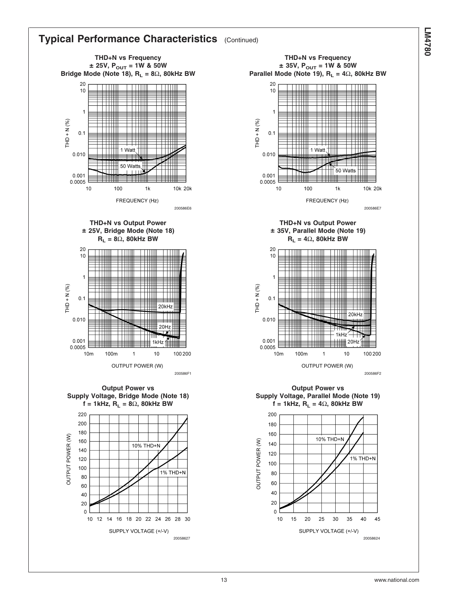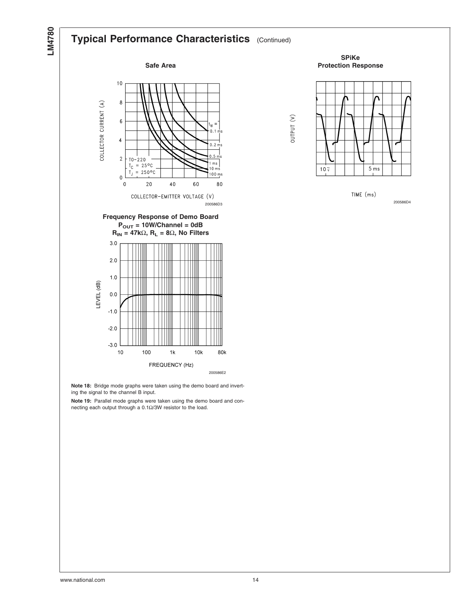## **Typical Performance Characteristics** (Continued)







200586E2

**Note 18:** Bridge mode graphs were taken using the demo board and inverting the signal to the channel B input.

**Note 19:** Parallel mode graphs were taken using the demo board and connecting each output through a 0.1Ω/3W resistor to the load.

**SPiKe Protection Response**



OUTPUT (V)

TIME (ms)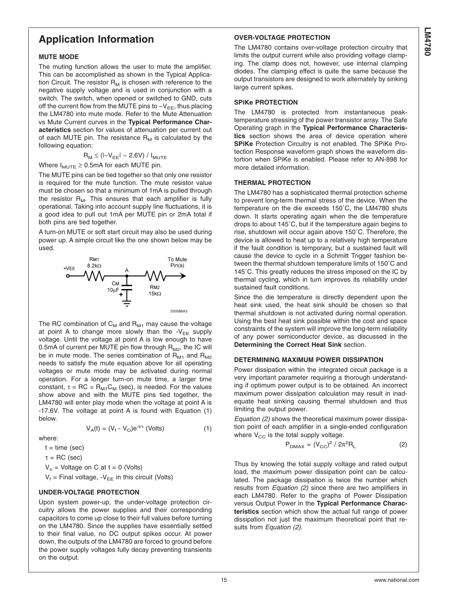### **acteristics** section for values of attenuation per current out of each MUTE pin. The resistance  $R_M$  is calculated by the  $R_{M} \leq (|-V_{EE}|-2.6V) / I_{MUTE}$ Where  $I_{\text{MUTE}} \geq 0.5$ mA for each MUTE pin. The MUTE pins can be tied together so that only one resistor

is required for the mute function. The mute resistor value must be chosen so that a minimum of 1mA is pulled through the resistor  $R_M$ . This ensures that each amplifier is fully operational. Taking into account supply line fluctuations, it is a good idea to pull out 1mA per MUTE pin or 2mA total if both pins are tied together. A turn-on MUTE or soft start circuit may also be used during

power up. A simple circuit like the one shown below may be used.

<span id="page-14-0"></span>**Application Information**

The muting function allows the user to mute the amplifier. This can be accomplished as shown in the Typical Application Circuit. The resistor  $R_M$  is chosen with reference to the negative supply voltage and is used in conjunction with a switch. The switch, when opened or switched to GND, cuts off the current flow from the MUTE pins to  $-V_{EF}$ , thus placing the LM4780 into mute mode. Refer to the Mute Attenuation vs Mute Current curves in the **Typical Performance Char-**

**MUTE MODE**

following equation:



The RC combination of  $C_M$  and  $R_{M1}$  may cause the voltage at point A to change more slowly than the  $-V_{EF}$  supply voltage. Until the voltage at point A is low enough to have 0.5mA of current per MUTE pin flow through  $R_{M2}$ , the IC will be in mute mode. The series combination of  $R_{M1}$  and  $R_{M2}$ needs to satisfy the mute equation above for all operating voltages or mute mode may be activated during normal operation. For a longer turn-on mute time, a larger time constant,  $\tau = \text{RC} = \text{R}_{\text{M1}}\text{C}_{\text{M}}$  (sec), is needed. For the values show above and with the MUTE pins tied together, the LM4780 will enter play mode when the voltage at point A is -17.6V. The voltage at point A is found with Equation (1) below.

$$
V_A(t) = (V_f - V_O)e^{-t/\tau} \text{ (Volts)} \tag{1}
$$

where:

 $t = time (sec)$ 

 $\tau = \text{RC}$  (sec)

 $V_0$  = Voltage on C at t = 0 (Volts)

 $V_f$  = Final voltage, -V<sub>EE</sub> in this circuit (Volts)

#### **UNDER-VOLTAGE PROTECTION**

Upon system power-up, the under-voltage protection circuitry allows the power supplies and their corresponding capacitors to come up close to their full values before turning on the LM4780. Since the supplies have essentially settled to their final value, no DC output spikes occur. At power down, the outputs of the LM4780 are forced to ground before the power supply voltages fully decay preventing transients on the output.

#### **OVER-VOLTAGE PROTECTION**

The LM4780 contains over-voltage protection circuitry that limits the output current while also providing voltage clamping. The clamp does not, however, use internal clamping diodes. The clamping effect is quite the same because the output transistors are designed to work alternately by sinking large current spikes.

#### **SPiKe PROTECTION**

The LM4780 is protected from instantaneous peaktemperature stressing of the power transistor array. The Safe Operating graph in the **Typical Performance Characteristics** section shows the area of device operation where **SPiKe** Protection Circuitry is not enabled. The SPiKe Protection Response waveform graph shows the waveform distortion when SPiKe is enabled. Please refer to AN-898 for more detailed information.

#### **THERMAL PROTECTION**

The LM4780 has a sophisticated thermal protection scheme to prevent long-term thermal stress of the device. When the temperature on the die exceeds 150˚C, the LM4780 shuts down. It starts operating again when the die temperature drops to about 145˚C, but if the temperature again begins to rise, shutdown will occur again above 150˚C. Therefore, the device is allowed to heat up to a relatively high temperature if the fault condition is temporary, but a sustained fault will cause the device to cycle in a Schmitt Trigger fashion between the thermal shutdown temperature limits of 150˚C and 145˚C. This greatly reduces the stress imposed on the IC by thermal cycling, which in turn improves its reliability under sustained fault conditions.

Since the die temperature is directly dependent upon the heat sink used, the heat sink should be chosen so that thermal shutdown is not activated during normal operation. Using the best heat sink possible within the cost and space constraints of the system will improve the long-term reliability of any power semiconductor device, as discussed in the **Determining the Correct Heat Sink** section.

#### **DETERMlNlNG MAXIMUM POWER DISSIPATION**

Power dissipation within the integrated circuit package is a very important parameter requiring a thorough understanding if optimum power output is to be obtained. An incorrect maximum power dissipation calculation may result in inadequate heat sinking causing thermal shutdown and thus limiting the output power.

*Equation (2)* shows the theoretical maximum power dissipation point of each amplifier in a single-ended configuration where  $V_{CC}$  is the total supply voltage.

$$
P_{\text{DMAX}} = (V_{\text{CC}})^2 / 2\pi^2 R_L
$$
 (2)

Thus by knowing the total supply voltage and rated output load, the maximum power dissipation point can be calculated. The package dissipation is twice the number which results from *Equation (2)* since there are two amplifiers in each LM4780. Refer to the graphs of Power Dissipation versus Output Power in the **Typical Performance Characteristics** section which show the actual full range of power dissipation not just the maximum theoretical point that results from *Equation (2)*.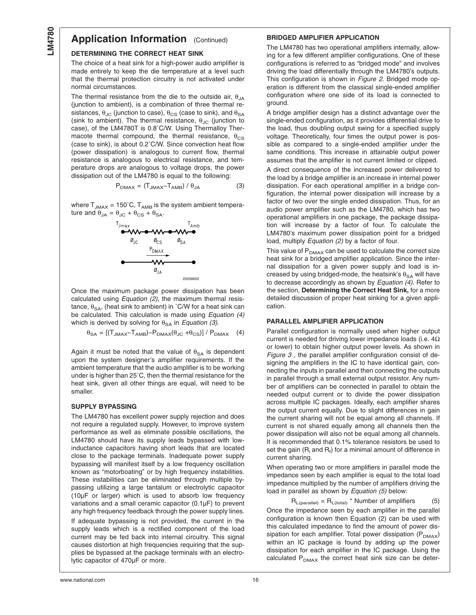#### **DETERMINING THE CORRECT HEAT SINK**

The choice of a heat sink for a high-power audio amplifier is made entirely to keep the die temperature at a level such that the thermal protection circuitry is not activated under normal circumstances.

The thermal resistance from the die to the outside air,  $\theta_{JA}$ (junction to ambient), is a combination of three thermal resistances,  $\theta_{\text{JC}}$  (junction to case),  $\theta_{\text{CS}}$  (case to sink), and  $\theta_{\text{SA}}$ (sink to ambient). The thermal resistance,  $\theta_{\text{JC}}$  (junction to case), of the LM4780T is 0.8˚C/W. Using Thermalloy Thermacote thermal compound, the thermal resistance,  $\theta_{\text{CS}}$ (case to sink), is about 0.2˚C/W. Since convection heat flow (power dissipation) is analogous to current flow, thermal resistance is analogous to electrical resistance, and temperature drops are analogous to voltage drops, the power dissipation out of the LM4780 is equal to the following:

$$
P_{\text{DMAX}} = (T_{\text{JMAX}} - T_{\text{AMB}}) / \theta_{\text{JA}} \tag{3}
$$

where  $T_{JMAX} = 150^{\circ}$ C,  $T_{AMB}$  is the system ambient temperature and  $\theta_{JA} = \theta_{JC} + \theta_{CS} + \theta_{SA}$ .



Once the maximum package power dissipation has been calculated using *[Equation \(2\)](#page-14-0)*, the maximum thermal resistance,  $\theta_{SA}$ , (heat sink to ambient) in °C/W for a heat sink can be calculated. This calculation is made using *Equation (4)* which is derived by solving for  $\theta_{SA}$  in *Equation (3)*.

$$
\theta_{SA} = \left[ (T_{JMAX} - T_{AMB}) - P_{DMAX}(\theta_{JC} + \theta_{CS}) \right] / P_{DMAX} \quad (4)
$$

Again it must be noted that the value of  $\theta_{SA}$  is dependent upon the system designer's amplifier requirements. If the ambient temperature that the audio amplifier is to be working under is higher than 25˚C, then the thermal resistance for the heat sink, given all other things are equal, will need to be smaller.

#### **SUPPLY BYPASSING**

The LM4780 has excellent power supply rejection and does not require a regulated supply. However, to improve system performance as well as eliminate possible oscillations, the LM4780 should have its supply leads bypassed with lowinductance capacitors having short leads that are located close to the package terminals. Inadequate power supply bypassing will manifest itself by a low frequency oscillation known as "motorboating" or by high frequency instabilities. These instabilities can be eliminated through multiple bypassing utilizing a large tantalum or electrolytic capacitor (10µF or larger) which is used to absorb low frequency variations and a small ceramic capacitor (0.1µF) to prevent any high frequency feedback through the power supply lines.

If adequate bypassing is not provided, the current in the supply leads which is a rectified component of the load current may be fed back into internal circuitry. This signal causes distortion at high frequencies requiring that the supplies be bypassed at the package terminals with an electrolytic capacitor of 470µF or more.

#### **BRIDGED AMPLIFIER APPLICATION**

The LM4780 has two operational amplifiers internally, allowing for a few different amplifier configurations. One of these configurations is referred to as "bridged mode" and involves driving the load differentially through the LM4780's outputs. This configuration is shown in *[Figure 2](#page-4-0)*. Bridged mode operation is different from the classical single-ended amplifier configuration where one side of its load is connected to ground.

A bridge amplifier design has a distinct advantage over the single-ended configuration, as it provides differential drive to the load, thus doubling output swing for a specified supply voltage. Theoretically, four times the output power is possible as compared to a single-ended amplifier under the same conditions. This increase in attainable output power assumes that the amplifier is not current limited or clipped.

A direct consequence of the increased power delivered to the load by a bridge amplifier is an increase in internal power dissipation. For each operational amplifier in a bridge configuration, the internal power dissipation will increase by a factor of two over the single ended dissipation. Thus, for an audio power amplifier such as the LM4780, which has two operational amplifiers in one package, the package dissipation will increase by a factor of four. To calculate the LM4780's maximum power dissipation point for a bridged load, multiply *[Equation \(2\)](#page-14-0)* by a factor of four.

This value of  $P_{DMAX}$  can be used to calculate the correct size heat sink for a bridged amplifier application. Since the internal dissipation for a given power supply and load is increased by using bridged-mode, the heatsink's  $\theta_{SA}$  will have to decrease accordingly as shown by *Equation (4)*. Refer to the section, **Determining the Correct Heat Sink,** for a more detailed discussion of proper heat sinking for a given application.

#### **PARALLEL AMPLIFIER APPLICATION**

Parallel configuration is normally used when higher output current is needed for driving lower impedance loads (i.e. 4Ω or lower) to obtain higher output power levels. As shown in *[Figure 3](#page-5-0)* , the parallel amplifier configuration consist of designing the amplifiers in the IC to have identical gain, connecting the inputs in parallel and then connecting the outputs in parallel through a small external output resistor. Any number of amplifiers can be connected in parallel to obtain the needed output current or to divide the power dissipation across multiple IC packages. Ideally, each amplifier shares the output current equally. Due to slight differences in gain the current sharing will not be equal among all channels. If current is not shared equally among all channels then the power dissipation will also not be equal among all channels. It is recommended that 0.1% tolerance resistors be used to set the gain ( $\mathsf{R}_{\mathsf{i}}$  and  $\mathsf{R}_{\mathsf{f}}$ ) for a minimal amount of difference in current sharing.

When operating two or more amplifiers in parallel mode the impedance seen by each amplifier is equal to the total load impedance multiplied by the number of amplifiers driving the load in parallel as shown by *Equation (5)* below:

 $R_{L(parallel)} = R_{L(total)} *$  Number of amplifiers (5) Once the impedance seen by each amplifier in the parallel configuration is known then Equation (2) can be used with this calculated impedance to find the amount of power dissipation for each amplifier. Total power dissipation  $(P_{DMAX})$ within an IC package is found by adding up the power dissipation for each amplifier in the IC package. Using the calculated  $P_{DMAX}$  the correct heat sink size can be deter-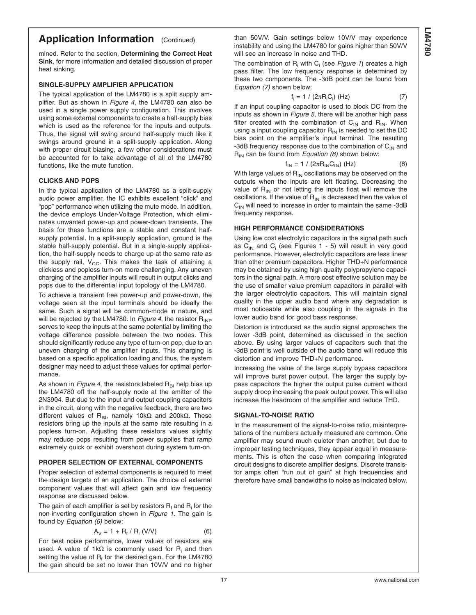mined. Refer to the section, **Determining the Correct Heat Sink**, for more information and detailed discussion of proper heat sinking.

#### **SINGLE-SUPPLY AMPLIFIER APPLICATION**

The typical application of the LM4780 is a split supply amplifier. But as shown in *[Figure 4](#page-6-0)*, the LM4780 can also be used in a single power supply configuration. This involves using some external components to create a half-supply bias which is used as the reference for the inputs and outputs. Thus, the signal will swing around half-supply much like it swings around ground in a split-supply application. Along with proper circuit biasing, a few other considerations must be accounted for to take advantage of all of the LM4780 functions, like the mute function.

#### **CLICKS AND POPS**

In the typical application of the LM4780 as a split-supply audio power amplifier, the IC exhibits excellent "click" and "pop" performance when utilizing the mute mode. In addition, the device employs Under-Voltage Protection, which eliminates unwanted power-up and power-down transients. The basis for these functions are a stable and constant halfsupply potential. In a split-supply application, ground is the stable half-supply potential. But in a single-supply application, the half-supply needs to charge up at the same rate as the supply rail,  $V_{CC}$ . This makes the task of attaining a clickless and popless turn-on more challenging. Any uneven charging of the amplifier inputs will result in output clicks and pops due to the differential input topology of the LM4780.

To achieve a transient free power-up and power-down, the voltage seen at the input terminals should be ideally the same. Such a signal will be common-mode in nature, and will be rejected by the LM4780. In *[Figure 4](#page-6-0)*, the resistor R<sub>INP</sub> serves to keep the inputs at the same potential by limiting the voltage difference possible between the two nodes. This should significantly reduce any type of turn-on pop, due to an uneven charging of the amplifier inputs. This charging is based on a specific application loading and thus, the system designer may need to adjust these values for optimal performance.

As shown in *[Figure 4](#page-6-0)*, the resistors labeled R<sub>BI</sub> help bias up the LM4780 off the half-supply node at the emitter of the 2N3904. But due to the input and output coupling capacitors in the circuit, along with the negative feedback, there are two different values of R<sub>BI</sub>, namely 10kΩ and 200kΩ. These resistors bring up the inputs at the same rate resulting in a popless turn-on. Adjusting these resistors values slightly may reduce pops resulting from power supplies that ramp extremely quick or exhibit overshoot during system turn-on.

#### **PROPER SELECTION OF EXTERNAL COMPONENTS**

Proper selection of external components is required to meet the design targets of an application. The choice of external component values that will affect gain and low frequency response are discussed below.

The gain of each amplifier is set by resistors  $R_f$  and  $R_i$  for the non-inverting configuration shown in *[Figure 1](#page-0-0)*. The gain is found by *Equation (6)* below:

$$
A_V = 1 + R_f / R_i (V/V)
$$
 (6)

For best noise performance, lower values of resistors are used. A value of 1kΩ is commonly used for  $R_i$  and then setting the value of  $R_f$  for the desired gain. For the LM4780 the gain should be set no lower than 10V/V and no higher

than 50V/V. Gain settings below 10V/V may experience instability and using the LM4780 for gains higher than 50V/V will see an increase in noise and THD.

The combination of R<sub>i</sub> with C<sub>i</sub> (see *[Figure 1](#page-0-0)*) creates a high pass filter. The low frequency response is determined by these two components. The -3dB point can be found from *Equation (7)* shown below:

$$
f_i = 1 / (2\pi R_i C_i) (Hz)
$$
 (7)

If an input coupling capacitor is used to block DC from the inputs as shown in *[Figure 5](#page-6-0)*, there will be another high pass filter created with the combination of  $C_{IN}$  and  $R_{IN}$ . When using a input coupling capacitor  $R_{IN}$  is needed to set the DC bias point on the amplifier's input terminal. The resulting -3dB frequency response due to the combination of  $C_{IN}$  and  $R_{IN}$  can be found from *Equation (8)* shown below:

$$
f_{IN} = 1 / (2\pi R_{IN} C_{IN}) \ (Hz)
$$
 (8)

With large values of  $R_{IN}$  oscillations may be observed on the outputs when the inputs are left floating. Decreasing the value of  $R_{IN}$  or not letting the inputs float will remove the oscillations. If the value of  $R_{IN}$  is decreased then the value of  $C_{IN}$  will need to increase in order to maintain the same -3dB frequency response.

#### **HIGH PERFORMANCE CONSIDERATIONS**

Using low cost electrolytic capacitors in the signal path such as  $C_{1N}$  and  $C_i$  (see Figures 1 - 5) will result in very good performance. However, electrolytic capacitors are less linear than other premium capacitors. Higher THD+N performance may be obtained by using high quality polypropylene capacitors in the signal path. A more cost effective solution may be the use of smaller value premium capacitors in parallel with the larger electrolytic capacitors. This will maintain signal quality in the upper audio band where any degradation is most noticeable while also coupling in the signals in the lower audio band for good bass response.

Distortion is introduced as the audio signal approaches the lower -3dB point, determined as discussed in the section above. By using larger values of capacitors such that the -3dB point is well outside of the audio band will reduce this distortion and improve THD+N performance.

Increasing the value of the large supply bypass capacitors will improve burst power output. The larger the supply bypass capacitors the higher the output pulse current without supply droop increasing the peak output power. This will also increase the headroom of the amplifier and reduce THD.

#### **SIGNAL-TO-NOISE RATIO**

In the measurement of the signal-to-noise ratio, misinterpretations of the numbers actually measured are common. One amplifier may sound much quieter than another, but due to improper testing techniques, they appear equal in measurements. This is often the case when comparing integrated circuit designs to discrete amplifier designs. Discrete transistor amps often "run out of gain" at high frequencies and therefore have small bandwidths to noise as indicated below.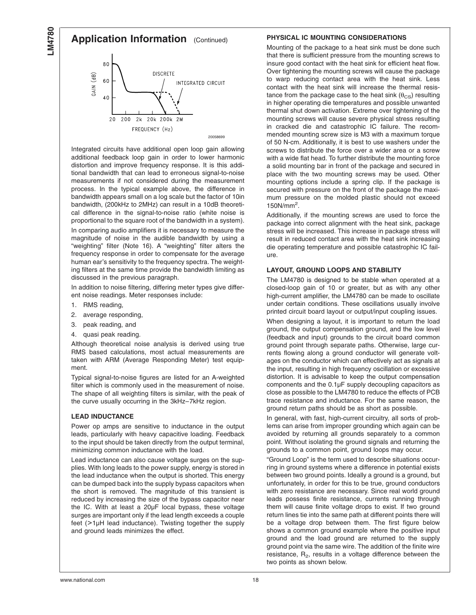## **Application Information** (Continued)



Integrated circuits have additional open loop gain allowing additional feedback loop gain in order to lower harmonic distortion and improve frequency response. It is this additional bandwidth that can lead to erroneous signal-to-noise measurements if not considered during the measurement process. In the typical example above, the difference in bandwidth appears small on a log scale but the factor of 10in bandwidth, (200kHz to 2MHz) can result in a 10dB theoretical difference in the signal-to-noise ratio (white noise is proportional to the square root of the bandwidth in a system).

In comparing audio amplifiers it is necessary to measure the magnitude of noise in the audible bandwidth by using a "weighting" filter [\(Note 16\).](#page-3-0) A "weighting" filter alters the frequency response in order to compensate for the average human ear's sensitivity to the frequency spectra. The weighting filters at the same time provide the bandwidth limiting as discussed in the previous paragraph.

In addition to noise filtering, differing meter types give different noise readings. Meter responses include:

- 1. RMS reading,
- 2. average responding,
- 3. peak reading, and
- 4. quasi peak reading.

Although theoretical noise analysis is derived using true RMS based calculations, most actual measurements are taken with ARM (Average Responding Meter) test equipment.

Typical signal-to-noise figures are listed for an A-weighted filter which is commonly used in the measurement of noise. The shape of all weighting filters is similar, with the peak of the curve usually occurring in the 3kHz–7kHz region.

#### **LEAD INDUCTANCE**

Power op amps are sensitive to inductance in the output leads, particularly with heavy capacitive loading. Feedback to the input should be taken directly from the output terminal, minimizing common inductance with the load.

Lead inductance can also cause voltage surges on the supplies. With long leads to the power supply, energy is stored in the lead inductance when the output is shorted. This energy can be dumped back into the supply bypass capacitors when the short is removed. The magnitude of this transient is reduced by increasing the size of the bypass capacitor near the IC. With at least a 20µF local bypass, these voltage surges are important only if the lead length exceeds a couple feet (>1µH lead inductance). Twisting together the supply and ground leads minimizes the effect.

#### **PHYSICAL IC MOUNTING CONSIDERATIONS**

Mounting of the package to a heat sink must be done such that there is sufficient pressure from the mounting screws to insure good contact with the heat sink for efficient heat flow. Over tightening the mounting screws will cause the package to warp reducing contact area with the heat sink. Less contact with the heat sink will increase the thermal resistance from the package case to the heat sink  $(\theta_{CS})$  resulting in higher operating die temperatures and possible unwanted thermal shut down activation. Extreme over tightening of the mounting screws will cause severe physical stress resulting in cracked die and catastrophic IC failure. The recommended mounting screw size is M3 with a maximum torque of 50 N-cm. Additionally, it is best to use washers under the screws to distribute the force over a wider area or a screw with a wide flat head. To further distribute the mounting force a solid mounting bar in front of the package and secured in place with the two mounting screws may be used. Other mounting options include a spring clip. If the package is secured with pressure on the front of the package the maximum pressure on the molded plastic should not exceed 150N/mm<sup>2</sup> .

Additionally, if the mounting screws are used to force the package into correct alignment with the heat sink, package stress will be increased. This increase in package stress will result in reduced contact area with the heat sink increasing die operating temperature and possible catastrophic IC failure.

#### **LAYOUT, GROUND LOOPS AND STABILITY**

The LM4780 is designed to be stable when operated at a closed-loop gain of 10 or greater, but as with any other high-current amplifier, the LM4780 can be made to oscillate under certain conditions. These oscillations usually involve printed circuit board layout or output/input coupling issues.

When designing a layout, it is important to return the load ground, the output compensation ground, and the low level (feedback and input) grounds to the circuit board common ground point through separate paths. Otherwise, large currents flowing along a ground conductor will generate voltages on the conductor which can effectively act as signals at the input, resulting in high frequency oscillation or excessive distortion. It is advisable to keep the output compensation components and the 0.1µF supply decoupling capacitors as close as possible to the LM4780 to reduce the effects of PCB trace resistance and inductance. For the same reason, the ground return paths should be as short as possible.

In general, with fast, high-current circuitry, all sorts of problems can arise from improper grounding which again can be avoided by returning all grounds separately to a common point. Without isolating the ground signals and returning the grounds to a common point, ground loops may occur.

"Ground Loop" is the term used to describe situations occurring in ground systems where a difference in potential exists between two ground points. Ideally a ground is a ground, but unfortunately, in order for this to be true, ground conductors with zero resistance are necessary. Since real world ground leads possess finite resistance, currents running through them will cause finite voltage drops to exist. If two ground return lines tie into the same path at different points there will be a voltage drop between them. The first figure below shows a common ground example where the positive input ground and the load ground are returned to the supply ground point via the same wire. The addition of the finite wire resistance,  $R_2$ , results in a voltage difference between the two points as shown below.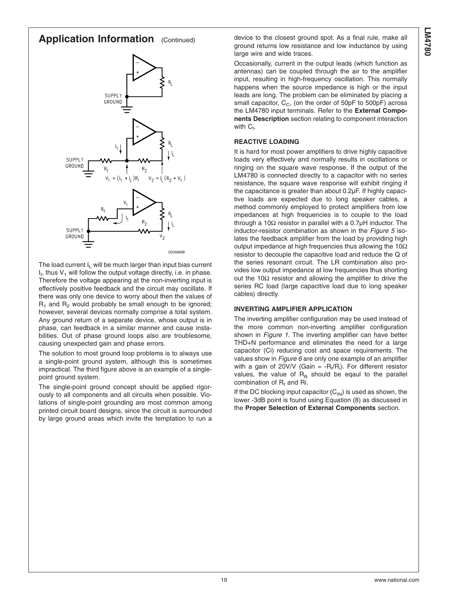



The load current I<sub>I</sub> will be much larger than input bias current  $I<sub>1</sub>$ , thus  $V<sub>1</sub>$  will follow the output voltage directly, i.e. in phase. Therefore the voltage appearing at the non-inverting input is effectively positive feedback and the circuit may oscillate. If there was only one device to worry about then the values of  $R_1$  and  $R_2$  would probably be small enough to be ignored; however, several devices normally comprise a total system. Any ground return of a separate device, whose output is in phase, can feedback in a similar manner and cause instabilities. Out of phase ground loops also are troublesome, causing unexpected gain and phase errors.

The solution to most ground loop problems is to always use a single-point ground system, although this is sometimes impractical. The third figure above is an example of a singlepoint ground system.

The single-point ground concept should be applied rigorously to all components and all circuits when possible. Violations of single-point grounding are most common among printed circuit board designs, since the circuit is surrounded by large ground areas which invite the temptation to run a device to the closest ground spot. As a final rule, make all ground returns low resistance and low inductance by using large wire and wide traces.

Occasionally, current in the output leads (which function as antennas) can be coupled through the air to the amplifier input, resulting in high-frequency oscillation. This normally happens when the source impedance is high or the input leads are long. The problem can be eliminated by placing a small capacitor,  $C_{C}$ , (on the order of 50pF to 500pF) across the LM4780 input terminals. Refer to the **External Components Description** section relating to component interaction with  $\mathrm{C_{f.}}$ 

#### **REACTIVE LOADING**

It is hard for most power amplifiers to drive highly capacitive loads very effectively and normally results in oscillations or ringing on the square wave response. If the output of the LM4780 is connected directly to a capacitor with no series resistance, the square wave response will exhibit ringing if the capacitance is greater than about 0.2µF. If highly capacitive loads are expected due to long speaker cables, a method commonly employed to protect amplifiers from low impedances at high frequencies is to couple to the load through a 10 $\Omega$  resistor in parallel with a 0.7 $\mu$ H inductor. The inductor-resistor combination as shown in the *[Figure 5](#page-6-0)* isolates the feedback amplifier from the load by providing high output impedance at high frequencies thus allowing the 10 $\Omega$ resistor to decouple the capacitive load and reduce the Q of the series resonant circuit. The LR combination also provides low output impedance at low frequencies thus shorting out the 10Ω resistor and allowing the amplifier to drive the series RC load (large capacitive load due to long speaker cables) directly.

#### **INVERTING AMPLIFIER APPLICATION**

The inverting amplifier configuration may be used instead of the more common non-inverting amplifier configuration shown in *[Figure 1](#page-0-0)*. The inverting amplifier can have better THD+N performance and eliminates the need for a large capacitor (Ci) reducing cost and space requirements. The values show in *[Figure 6](#page-19-0)* are only one example of an amplifier with a gain of 20V/V (Gain =  $-R_f/R_i$ ). For different resistor values, the value of  $R_B$  should be eqaul to the parallel combination of  $R_f$  and Ri.

If the DC blocking input capacitor  $(C_{IN})$  is used as shown, the lower -3dB point is found using Equation (8) as discussed in the **Proper Selection of External Components** section.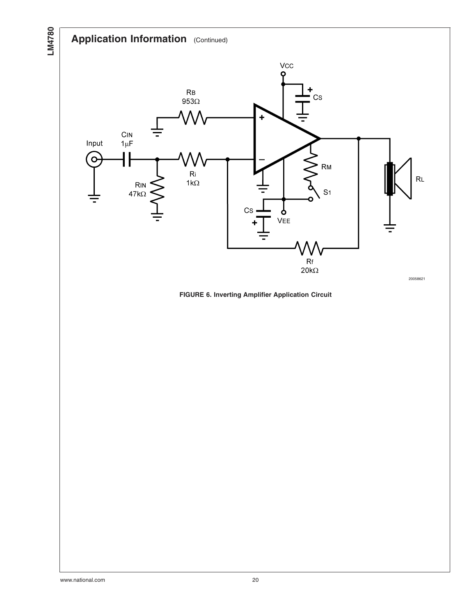<span id="page-19-0"></span>**LM4780**



**FIGURE 6. Inverting Amplifier Application Circuit**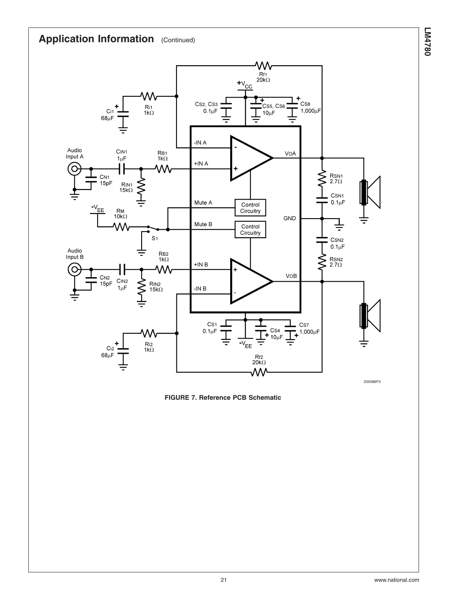

**FIGURE 7. Reference PCB Schematic**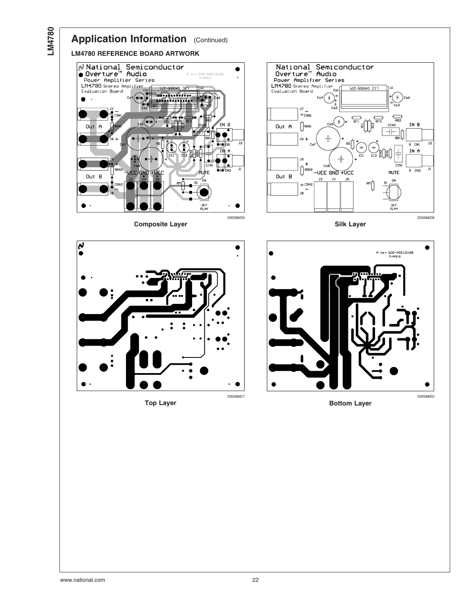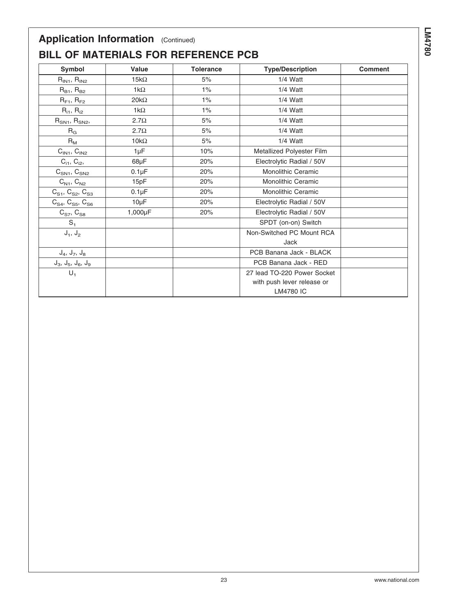## **BILL OF MATERIALS FOR REFERENCE PCB**

| Symbol                                                               | <b>Value</b> | <b>Tolerance</b> | <b>Type/Description</b>     | <b>Comment</b> |
|----------------------------------------------------------------------|--------------|------------------|-----------------------------|----------------|
| $R_{IN1}$ , $R_{IN2}$                                                | $15k\Omega$  | 5%               | $1/4$ Watt                  |                |
| $R_{B1}$ , $R_{B2}$                                                  | $1k\Omega$   | $1\%$            | $1/4$ Watt                  |                |
| $R_{F1}$ , $R_{F2}$                                                  | $20k\Omega$  | $1\%$            | $1/4$ Watt                  |                |
| $R_{i1}$ , $R_{i2}$                                                  | $1k\Omega$   | 1%               | $1/4$ Watt                  |                |
| $R_{SN1}$ , $R_{SN2}$ ,                                              | $2.7\Omega$  | 5%               | $1/4$ Watt                  |                |
| $R_G$                                                                | $2.7\Omega$  | 5%               | 1/4 Watt                    |                |
| $R_{M}$                                                              | $10k\Omega$  | 5%               | $1/4$ Watt                  |                |
| $CIN1$ , $CIN2$                                                      | $1 \mu F$    | 10%              | Metallized Polyester Film   |                |
| $C_{i1}$ , $C_{i2}$ ,                                                | $68\mu F$    | 20%              | Electrolytic Radial / 50V   |                |
| $C_{SN1}$ , $C_{SN2}$                                                | $0.1\mu F$   | 20%              | <b>Monolithic Ceramic</b>   |                |
| $C_{N1}$ , $C_{N2}$                                                  | 15pF         | 20%              | Monolithic Ceramic          |                |
| $\text{C}_{\text{S1}},\,\text{C}_{\text{S2}},\,\text{C}_{\text{S3}}$ | $0.1\mu F$   | 20%              | <b>Monolithic Ceramic</b>   |                |
| $C_{S4}$ , $C_{S5}$ , $C_{S6}$                                       | $10\mu F$    | 20%              | Electrolytic Radial / 50V   |                |
| $C_{S7}$ , $C_{S8}$                                                  | 1,000µF      | 20%              | Electrolytic Radial / 50V   |                |
| $S_1$                                                                |              |                  | SPDT (on-on) Switch         |                |
| $J_1, J_2$                                                           |              |                  | Non-Switched PC Mount RCA   |                |
|                                                                      |              |                  | Jack                        |                |
| $J_4, J_7, J_8$                                                      |              |                  | PCB Banana Jack - BLACK     |                |
| $J_3$ , $J_5$ , $J_6$ , $J_9$                                        |              |                  | PCB Banana Jack - RED       |                |
| $U_1$                                                                |              |                  | 27 lead TO-220 Power Socket |                |
|                                                                      |              |                  | with push lever release or  |                |
|                                                                      |              |                  | <b>LM4780 IC</b>            |                |